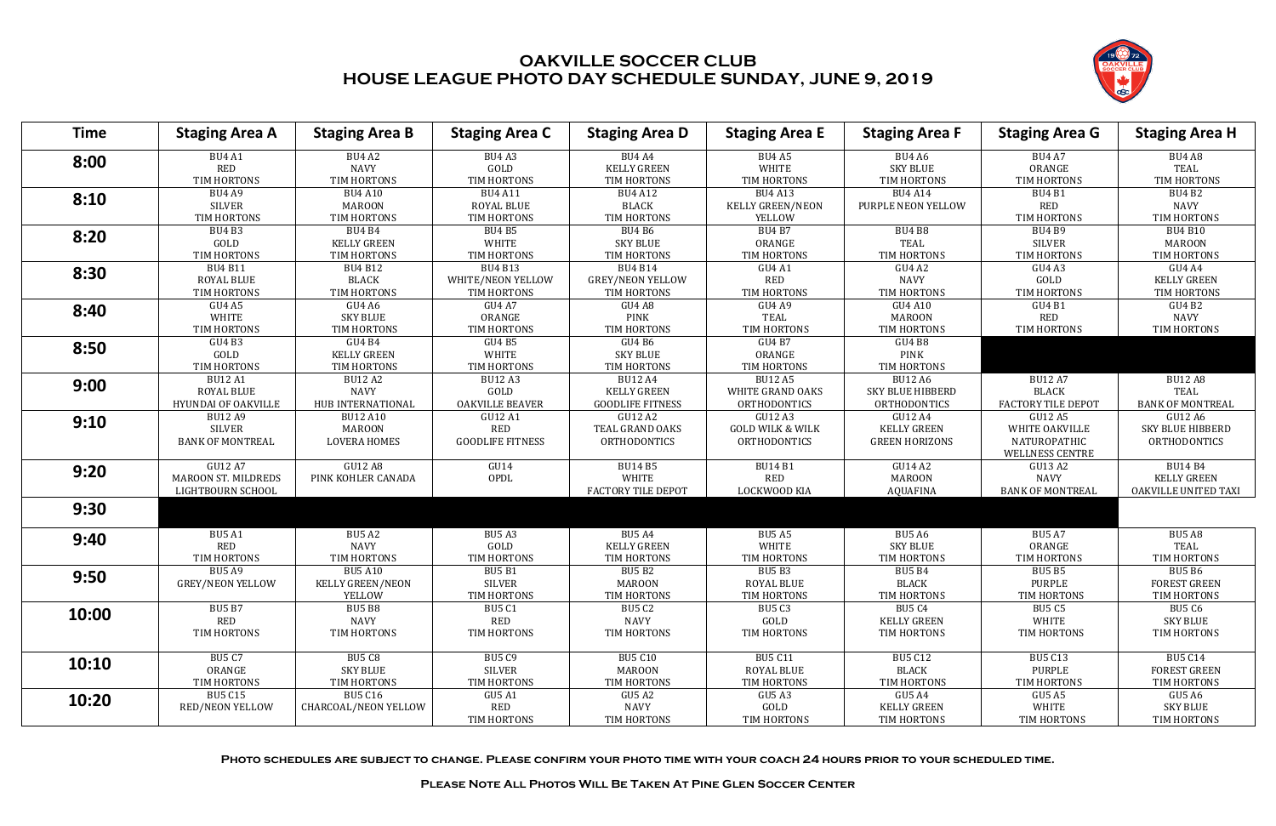**Photo schedules are subject to change. Please confirm your photo time with your coach 24 hours prior to your scheduled time.**

**Please Note All Photos Will Be Taken At Pine Glen Soccer Center**



| Time  | <b>Staging Area A</b>       | <b>Staging Area B</b>        | <b>Staging Area C</b>   | <b>Staging Area D</b>        | <b>Staging Area E</b>       | <b>Staging Area F</b>            | <b>Staging Area G</b>   | <b>Staging Area H</b>   |
|-------|-----------------------------|------------------------------|-------------------------|------------------------------|-----------------------------|----------------------------------|-------------------------|-------------------------|
| 8:00  | <b>BU4 A1</b><br><b>RED</b> | <b>BU4 A2</b><br><b>NAVY</b> | BU4A3<br>GOLD           | BU4 A4<br><b>KELLY GREEN</b> | BU4 A5<br>WHITE             | <b>BU4 A6</b><br><b>SKY BLUE</b> | <b>BU4 A7</b><br>ORANGE | BU4 A8<br>TEAL          |
|       | TIM HORTONS                 | TIM HORTONS                  | TIM HORTONS             | TIM HORTONS                  | TIM HORTONS                 | TIM HORTONS                      | TIM HORTONS             | TIM HORTONS             |
| 8:10  | <b>BU4 A9</b>               | <b>BU4 A10</b>               | <b>BU4 A11</b>          | <b>BU4 A12</b>               | <b>BU4 A13</b>              | <b>BU4 A14</b>                   | <b>BU4 B1</b>           | <b>BU4 B2</b>           |
|       | <b>SILVER</b>               | <b>MAROON</b>                | <b>ROYAL BLUE</b>       | <b>BLACK</b>                 | <b>KELLY GREEN/NEON</b>     | PURPLE NEON YELLOW               | <b>RED</b>              | <b>NAVY</b>             |
|       | TIM HORTONS                 | TIM HORTONS                  | TIM HORTONS             | TIM HORTONS                  | YELLOW                      |                                  | TIM HORTONS             | TIM HORTONS             |
| 8:20  | <b>BU4 B3</b>               | <b>BU4 B4</b>                | <b>BU4 B5</b>           | <b>BU4 B6</b>                | <b>BU4 B7</b>               | <b>BU4 B8</b>                    | <b>BU4 B9</b>           | <b>BU4 B10</b>          |
|       | GOLD                        | <b>KELLY GREEN</b>           | <b>WHITE</b>            | <b>SKY BLUE</b>              | ORANGE                      | <b>TEAL</b>                      | <b>SILVER</b>           | <b>MAROON</b>           |
|       | TIM HORTONS                 | TIM HORTONS                  | TIM HORTONS             | TIM HORTONS                  | TIM HORTONS                 | TIM HORTONS                      | TIM HORTONS             | TIM HORTONS             |
| 8:30  | <b>BU4 B11</b>              | <b>BU4 B12</b>               | <b>BU4 B13</b>          | <b>BU4 B14</b>               | GU4 A1                      | GU4 A2                           | GU4A3                   | GU4 A4                  |
|       | ROYAL BLUE                  | <b>BLACK</b>                 | WHITE/NEON YELLOW       | <b>GREY/NEON YELLOW</b>      | <b>RED</b>                  | <b>NAVY</b>                      | GOLD                    | <b>KELLY GREEN</b>      |
|       | TIM HORTONS                 | TIM HORTONS                  | TIM HORTONS             | TIM HORTONS                  | TIM HORTONS                 | TIM HORTONS                      | TIM HORTONS             | TIM HORTONS             |
| 8:40  | <b>GU4 A5</b>               | GU4 A6                       | GU4 A7                  | GU4 A8                       | GU4 A9                      | <b>GU4 A10</b>                   | GU4 B1                  | GU4 B2                  |
|       | <b>WHITE</b>                | <b>SKY BLUE</b>              | ORANGE                  | <b>PINK</b>                  | <b>TEAL</b>                 | <b>MAROON</b>                    | <b>RED</b>              | <b>NAVY</b>             |
|       | TIM HORTONS                 | TIM HORTONS                  | TIM HORTONS             | TIM HORTONS                  | TIM HORTONS                 | TIM HORTONS                      | TIM HORTONS             | TIM HORTONS             |
| 8:50  | GU4 B3                      | GU4 B4                       | <b>GU4 B5</b>           | GU4 B6                       | <b>GU4 B7</b>               | GU4 B8                           |                         |                         |
|       | GOLD                        | <b>KELLY GREEN</b>           | <b>WHITE</b>            | <b>SKY BLUE</b>              | ORANGE                      | <b>PINK</b>                      |                         |                         |
|       | TIM HORTONS                 | TIM HORTONS                  | TIM HORTONS             | TIM HORTONS                  | TIM HORTONS                 | TIM HORTONS                      |                         |                         |
| 9:00  | <b>BU12 A1</b>              | <b>BU12 A2</b>               | <b>BU12 A3</b>          | <b>BU12 A4</b>               | <b>BU12 A5</b>              | <b>BU12 A6</b>                   | <b>BU12 A7</b>          | <b>BU12 A8</b>          |
|       | ROYAL BLUE                  | <b>NAVY</b>                  | GOLD                    | <b>KELLY GREEN</b>           | WHITE GRAND OAKS            | SKY BLUE HIBBERD                 | <b>BLACK</b>            | TEAL                    |
|       | <b>HYUNDAI OF OAKVILLE</b>  | HUB INTERNATIONAL            | OAKVILLE BEAVER         | <b>GOODLIFE FITNESS</b>      | <b>ORTHODONTICS</b>         | <b>ORTHODONTICS</b>              | FACTORY TILE DEPOT      | <b>BANK OF MONTREAL</b> |
| 9:10  | <b>BU12 A9</b>              | <b>BU12 A10</b>              | GU12 A1                 | GU12 A2                      | <b>GU12 A3</b>              | <b>GU12 A4</b>                   | GU12 A5                 | GU12 A6                 |
|       | <b>SILVER</b>               | <b>MAROON</b>                | <b>RED</b>              | <b>TEAL GRAND OAKS</b>       | <b>GOLD WILK &amp; WILK</b> | <b>KELLY GREEN</b>               | WHITE OAKVILLE          | SKY BLUE HIBBERD        |
|       | <b>BANK OF MONTREAL</b>     | <b>LOVERA HOMES</b>          | <b>GOODLIFE FITNESS</b> | <b>ORTHODONTICS</b>          | ORTHODONTICS                | <b>GREEN HORIZONS</b>            | NATUROPATHIC            | <b>ORTHODONTICS</b>     |
|       |                             |                              |                         |                              |                             |                                  | WELLNESS CENTRE         |                         |
| 9:20  | <b>GU12 A7</b>              | <b>GU12 A8</b>               | GU14                    | <b>BU14 B5</b>               | <b>BU14 B1</b>              | GU14 A2                          | GU13 A2                 | <b>BU14 B4</b>          |
|       | <b>MAROON ST. MILDREDS</b>  | PINK KOHLER CANADA           | OPDL                    | <b>WHITE</b>                 | <b>RED</b>                  | <b>MAROON</b>                    | <b>NAVY</b>             | <b>KELLY GREEN</b>      |
|       | LIGHTBOURN SCHOOL           |                              |                         | FACTORY TILE DEPOT           | LOCKWOOD KIA                | <b>AQUAFINA</b>                  | <b>BANK OF MONTREAL</b> | OAKVILLE UNITED TAXI    |
| 9:30  |                             |                              |                         |                              |                             |                                  |                         |                         |
|       |                             |                              |                         |                              |                             |                                  |                         |                         |
| 9:40  | <b>BU5 A1</b>               | <b>BU5 A2</b>                | <b>BU5 A3</b>           | <b>BU5 A4</b>                | <b>BU5 A5</b>               | <b>BU5 A6</b>                    | <b>BU5 A7</b>           | <b>BU5 A8</b>           |
|       | <b>RED</b>                  | <b>NAVY</b>                  | GOLD                    | <b>KELLY GREEN</b>           | WHITE                       | <b>SKY BLUE</b>                  | ORANGE                  | TEAL                    |
|       | TIM HORTONS                 | TIM HORTONS                  | TIM HORTONS             | TIM HORTONS                  | TIM HORTONS                 | TIM HORTONS                      | TIM HORTONS             | TIM HORTONS             |
| 9:50  | <b>BU5 A9</b>               | <b>BU5 A10</b>               | <b>BU5 B1</b>           | <b>BU5 B2</b>                | <b>BU5 B3</b>               | <b>BU5 B4</b>                    | <b>BU5 B5</b>           | <b>BU5 B6</b>           |
|       | <b>GREY/NEON YELLOW</b>     | <b>KELLY GREEN/NEON</b>      | <b>SILVER</b>           | MAROON                       | ROYAL BLUE                  | <b>BLACK</b>                     | PURPLE                  | <b>FOREST GREEN</b>     |
|       |                             | YELLOW                       | TIM HORTONS             | TIM HORTONS                  | TIM HORTONS                 | TIM HORTONS                      | TIM HORTONS             | TIM HORTONS             |
| 10:00 | <b>BU5 B7</b>               | <b>BU5 B8</b>                | <b>BU5 C1</b>           | BU5 C2                       | <b>BU5 C3</b>               | <b>BU5 C4</b>                    | <b>BU5 C5</b>           | BU5 C6                  |
|       | RED                         | NAVY                         | RED                     | <b>NAVY</b>                  | GOLD                        | <b>KELLY GREEN</b>               | WHITE                   | <b>SKY BLUE</b>         |
|       | TIM HORTONS                 | TIM HORTONS                  | TIM HORTONS             | TIM HORTONS                  | TIM HORTONS                 | TIM HORTONS                      | TIM HORTONS             | TIM HORTONS             |
|       | <b>BU5 C7</b>               | BU5 C8                       | <b>BU5 C9</b>           | BU5 C10                      | <b>BU5 C11</b>              | <b>BU5 C12</b>                   | <b>BU5 C13</b>          | <b>BU5 C14</b>          |
| 10:10 | ORANGE                      | SKY BLUE                     | SILVER                  | MAROON                       | ROYAL BLUE                  | <b>BLACK</b>                     | PURPLE                  | <b>FOREST GREEN</b>     |
|       | TIM HORTONS                 | TIM HORTONS                  | TIM HORTONS             | TIM HORTONS                  | TIM HORTONS                 | TIM HORTONS                      | TIM HORTONS             | TIM HORTONS             |
|       | <b>BU5 C15</b>              | <b>BU5 C16</b>               | <b>GU5 A1</b>           | GU5 A2                       | GU5 A3                      | GU5 A4                           | GU5 A5                  | GU5 A6                  |
| 10:20 | <b>RED/NEON YELLOW</b>      | CHARCOAL/NEON YELLOW         | <b>RED</b>              | <b>NAVY</b>                  | GOLD                        | <b>KELLY GREEN</b>               | WHITE                   | <b>SKY BLUE</b>         |
|       |                             |                              | TIM HORTONS             | TIM HORTONS                  | TIM HORTONS                 | TIM HORTONS                      | TIM HORTONS             | TIM HORTONS             |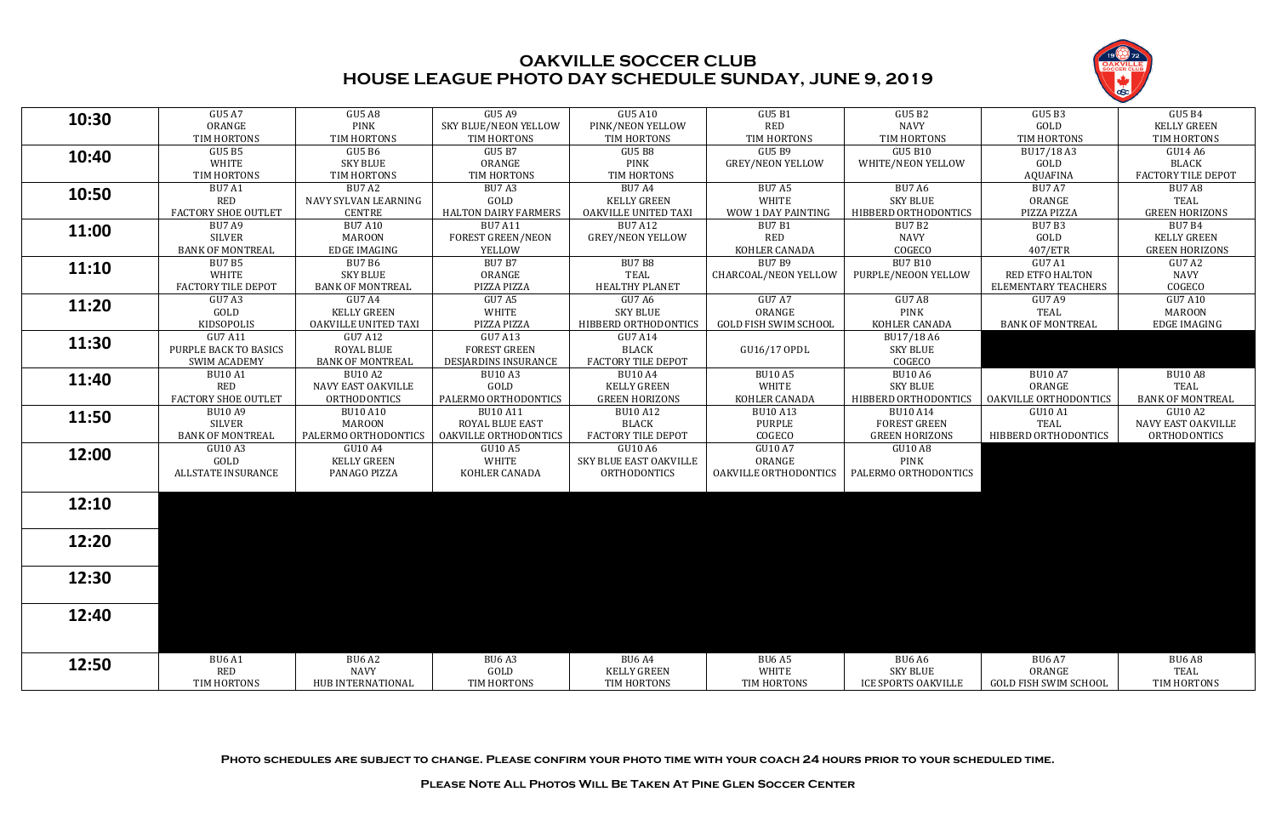**Photo schedules are subject to change. Please confirm your photo time with your coach 24 hours prior to your scheduled time.**

**Please Note All Photos Will Be Taken At Pine Glen Soccer Center**



| 10:30<br><b>PINK</b><br><b>RED</b><br>ORANGE<br><b>SKY BLUE/NEON YELLOW</b><br>PINK/NEON YELLOW<br><b>NAVY</b><br>GOLD<br><b>KELLY GREEN</b><br>TIM HORTONS<br>TIM HORTONS<br>TIM HORTONS<br>TIM HORTONS<br>TIM HORTONS<br>TIM HORTONS<br>TIM HORTONS<br>TIM HORTONS<br><b>GU5 B7</b><br><b>GU5 B9</b><br><b>GU5 B10</b><br><b>GU5 B5</b><br><b>GU5 B6</b><br><b>GU5 B8</b><br>BU17/18 A3<br>GU14 A6<br>10:40<br><b>PINK</b><br>WHITE<br><b>SKY BLUE</b><br>ORANGE<br><b>GREY/NEON YELLOW</b><br>WHITE/NEON YELLOW<br>GOLD<br><b>BLACK</b><br><b>FACTORY TILE DEPOT</b><br>TIM HORTONS<br>TIM HORTONS<br>TIM HORTONS<br>TIM HORTONS<br><b>AQUAFINA</b><br><b>BU7 A2</b><br><b>BU7 A4</b><br><b>BU7 A6</b><br><b>BU7 A7</b><br><b>BU7 A1</b><br><b>BU7 A3</b><br><b>BU7 A5</b><br><b>BU7 A8</b><br>10:50<br>GOLD<br><b>WHITE</b><br><b>SKY BLUE</b><br><b>RED</b><br>NAVY SYLVAN LEARNING<br><b>KELLY GREEN</b><br>ORANGE<br><b>TEAL</b><br><b>GREEN HORIZONS</b><br><b>FACTORY SHOE OUTLET</b><br><b>CENTRE</b><br><b>HALTON DAIRY FARMERS</b><br><b>OAKVILLE UNITED TAXI</b><br>WOW 1 DAY PAINTING<br>HIBBERD ORTHODONTICS<br>PIZZA PIZZA<br><b>BU7 A9</b><br><b>BU7 A10</b><br><b>BU7 A11</b><br><b>BU7 A12</b><br><b>BU7 B1</b><br><b>BU7 B2</b><br>BU7B3<br><b>BU7 B4</b><br>11:00<br><b>RED</b><br>SILVER<br><b>MAROON</b><br><b>FOREST GREEN/NEON</b><br><b>GREY/NEON YELLOW</b><br><b>NAVY</b><br>GOLD<br><b>KELLY GREEN</b><br><b>BANK OF MONTREAL</b><br>KOHLER CANADA<br>COGECO<br>407/ETR<br><b>GREEN HORIZONS</b><br><b>EDGE IMAGING</b><br>YELLOW<br><b>BU7 B7</b><br><b>BU7 B9</b><br><b>BU7 B10</b><br><b>BU7 B5</b><br><b>BU7 B6</b><br>BU7 B8<br><b>GU7 A1</b><br>GU7 A2<br><b>11:10</b><br>ORANGE<br>WHITE<br><b>SKY BLUE</b><br><b>TEAL</b><br><b>RED ETFO HALTON</b><br><b>NAVY</b><br>CHARCOAL/NEON YELLOW<br>PURPLE/NEOON YELLOW<br><b>HEALTHY PLANET</b><br><b>FACTORY TILE DEPOT</b><br><b>BANK OF MONTREAL</b><br>PIZZA PIZZA<br><b>ELEMENTARY TEACHERS</b><br>COGECO<br><b>GU7 A4</b><br><b>GU7 A5</b><br>GU7 A6<br>GU7 A7<br>GU7 A8<br><b>GU7 A10</b><br>GU7 A3<br>GU7 A9<br>11:20<br>GOLD<br><b>WHITE</b><br><b>SKY BLUE</b><br>ORANGE<br><b>PINK</b><br>TEAL<br><b>KELLY GREEN</b><br><b>MAROON</b><br>PIZZA PIZZA<br>HIBBERD ORTHODONTICS<br>KOHLER CANADA<br><b>BANK OF MONTREAL</b><br>KIDSOPOLIS<br>OAKVILLE UNITED TAXI<br><b>GOLD FISH SWIM SCHOOL</b><br><b>EDGE IMAGING</b><br><b>GU7 A11</b><br>GU7 A13<br>GU7 A12<br><b>GU7 A14</b><br>BU17/18 A6<br>11:30<br>PURPLE BACK TO BASICS<br><b>ROYAL BLUE</b><br><b>FOREST GREEN</b><br><b>BLACK</b><br>GU16/17 OPDL<br><b>SKY BLUE</b><br>COGECO<br><b>FACTORY TILE DEPOT</b><br><b>BANK OF MONTREAL</b><br>DESJARDINS INSURANCE<br><b>SWIM ACADEMY</b><br><b>BU10 A5</b><br><b>BU10 A6</b><br><b>BU10 A7</b><br><b>BU10 A8</b><br><b>BU10 A1</b><br><b>BU10 A2</b><br><b>BU10 A4</b><br><b>BU10 A3</b><br>11:40<br>GOLD<br>WHITE<br><b>RED</b><br><b>KELLY GREEN</b><br><b>SKY BLUE</b><br>ORANGE<br>TEAL<br><b>NAVY EAST OAKVILLE</b><br><b>FACTORY SHOE OUTLET</b><br>PALERMO ORTHODONTICS<br><b>GREEN HORIZONS</b><br>KOHLER CANADA<br>HIBBERD ORTHODONTICS<br><b>BANK OF MONTREAL</b><br><b>ORTHODONTICS</b><br><b>OAKVILLE ORTHODONTICS</b><br><b>BU10 A9</b><br><b>BU10 A10</b><br><b>BU10 A11</b><br><b>BU10 A13</b><br><b>BU10 A14</b><br><b>GU10 A1</b><br>GU10 A2<br><b>BU10 A12</b><br>11:50<br>SILVER<br><b>MAROON</b><br>ROYAL BLUE EAST<br><b>BLACK</b><br><b>PURPLE</b><br><b>FOREST GREEN</b><br>TEAL<br>NAVY EAST OAKVILLE<br><b>FACTORY TILE DEPOT</b><br>COGECO<br><b>BANK OF MONTREAL</b><br>PALERMO ORTHODONTICS<br>OAKVILLE ORTHODONTICS<br><b>GREEN HORIZONS</b><br>HIBBERD ORTHODONTICS<br>ORTHODONTICS<br>GU10 A3<br><b>GU10 A4</b><br>GU10 A5<br>GU10 A6<br><b>GU10 A7</b><br>GU10 A8<br>12:00<br>GOLD<br>WHITE<br>ORANGE<br><b>PINK</b><br><b>KELLY GREEN</b><br>SKY BLUE EAST OAKVILLE<br>ALLSTATE INSURANCE<br>PANAGO PIZZA<br>KOHLER CANADA<br><b>ORTHODONTICS</b><br>OAKVILLE ORTHODONTICS<br>PALERMO ORTHODONTICS<br>12:10<br>12:20<br>12:30<br>12:40<br><b>BU6 A4</b><br><b>BU6 A5</b><br><b>BU6 A6</b><br><b>BU6 A7</b><br><b>BU6 A1</b><br><b>BU6 A2</b><br>BU <sub>6</sub> A <sub>3</sub><br>BU6 A8<br>12:50<br><b>RED</b><br>WHITE<br><b>SKY BLUE</b><br>ORANGE<br><b>NAVY</b><br>GOLD<br><b>KELLY GREEN</b><br>TEAL<br>TIM HORTONS<br>TIM HORTONS<br>HUB INTERNATIONAL<br>TIM HORTONS<br>TIM HORTONS<br>TIM HORTONS<br><b>ICE SPORTS OAKVILLE</b><br><b>GOLD FISH SWIM SCHOOL</b> |               |               |               |                |               |               |               |               |
|-------------------------------------------------------------------------------------------------------------------------------------------------------------------------------------------------------------------------------------------------------------------------------------------------------------------------------------------------------------------------------------------------------------------------------------------------------------------------------------------------------------------------------------------------------------------------------------------------------------------------------------------------------------------------------------------------------------------------------------------------------------------------------------------------------------------------------------------------------------------------------------------------------------------------------------------------------------------------------------------------------------------------------------------------------------------------------------------------------------------------------------------------------------------------------------------------------------------------------------------------------------------------------------------------------------------------------------------------------------------------------------------------------------------------------------------------------------------------------------------------------------------------------------------------------------------------------------------------------------------------------------------------------------------------------------------------------------------------------------------------------------------------------------------------------------------------------------------------------------------------------------------------------------------------------------------------------------------------------------------------------------------------------------------------------------------------------------------------------------------------------------------------------------------------------------------------------------------------------------------------------------------------------------------------------------------------------------------------------------------------------------------------------------------------------------------------------------------------------------------------------------------------------------------------------------------------------------------------------------------------------------------------------------------------------------------------------------------------------------------------------------------------------------------------------------------------------------------------------------------------------------------------------------------------------------------------------------------------------------------------------------------------------------------------------------------------------------------------------------------------------------------------------------------------------------------------------------------------------------------------------------------------------------------------------------------------------------------------------------------------------------------------------------------------------------------------------------------------------------------------------------------------------------------------------------------------------------------------------------------------------------------------------------------------------------------------------------------------------------------------------------------------------------------------------------------------------------------------------------------------------------------------------------------------------------------------------------------------------------------------------------------------------------------------------------------------------------------------------------------------------------------------------------------------------------------------------------------------------------------------------------------------------------------------------------------------------------------------------------------------------------------------------------------------------------------------------------------------------------------------------------|---------------|---------------|---------------|----------------|---------------|---------------|---------------|---------------|
|                                                                                                                                                                                                                                                                                                                                                                                                                                                                                                                                                                                                                                                                                                                                                                                                                                                                                                                                                                                                                                                                                                                                                                                                                                                                                                                                                                                                                                                                                                                                                                                                                                                                                                                                                                                                                                                                                                                                                                                                                                                                                                                                                                                                                                                                                                                                                                                                                                                                                                                                                                                                                                                                                                                                                                                                                                                                                                                                                                                                                                                                                                                                                                                                                                                                                                                                                                                                                                                                                                                                                                                                                                                                                                                                                                                                                                                                                                                                                                                                                                                                                                                                                                                                                                                                                                                                                                                                                                                                                                             | <b>GU5 A7</b> | <b>GU5 A8</b> | <b>GU5 A9</b> | <b>GU5 A10</b> | <b>GU5 B1</b> | <b>GU5 B2</b> | <b>GU5 B3</b> | <b>GU5 B4</b> |
|                                                                                                                                                                                                                                                                                                                                                                                                                                                                                                                                                                                                                                                                                                                                                                                                                                                                                                                                                                                                                                                                                                                                                                                                                                                                                                                                                                                                                                                                                                                                                                                                                                                                                                                                                                                                                                                                                                                                                                                                                                                                                                                                                                                                                                                                                                                                                                                                                                                                                                                                                                                                                                                                                                                                                                                                                                                                                                                                                                                                                                                                                                                                                                                                                                                                                                                                                                                                                                                                                                                                                                                                                                                                                                                                                                                                                                                                                                                                                                                                                                                                                                                                                                                                                                                                                                                                                                                                                                                                                                             |               |               |               |                |               |               |               |               |
|                                                                                                                                                                                                                                                                                                                                                                                                                                                                                                                                                                                                                                                                                                                                                                                                                                                                                                                                                                                                                                                                                                                                                                                                                                                                                                                                                                                                                                                                                                                                                                                                                                                                                                                                                                                                                                                                                                                                                                                                                                                                                                                                                                                                                                                                                                                                                                                                                                                                                                                                                                                                                                                                                                                                                                                                                                                                                                                                                                                                                                                                                                                                                                                                                                                                                                                                                                                                                                                                                                                                                                                                                                                                                                                                                                                                                                                                                                                                                                                                                                                                                                                                                                                                                                                                                                                                                                                                                                                                                                             |               |               |               |                |               |               |               |               |
|                                                                                                                                                                                                                                                                                                                                                                                                                                                                                                                                                                                                                                                                                                                                                                                                                                                                                                                                                                                                                                                                                                                                                                                                                                                                                                                                                                                                                                                                                                                                                                                                                                                                                                                                                                                                                                                                                                                                                                                                                                                                                                                                                                                                                                                                                                                                                                                                                                                                                                                                                                                                                                                                                                                                                                                                                                                                                                                                                                                                                                                                                                                                                                                                                                                                                                                                                                                                                                                                                                                                                                                                                                                                                                                                                                                                                                                                                                                                                                                                                                                                                                                                                                                                                                                                                                                                                                                                                                                                                                             |               |               |               |                |               |               |               |               |
|                                                                                                                                                                                                                                                                                                                                                                                                                                                                                                                                                                                                                                                                                                                                                                                                                                                                                                                                                                                                                                                                                                                                                                                                                                                                                                                                                                                                                                                                                                                                                                                                                                                                                                                                                                                                                                                                                                                                                                                                                                                                                                                                                                                                                                                                                                                                                                                                                                                                                                                                                                                                                                                                                                                                                                                                                                                                                                                                                                                                                                                                                                                                                                                                                                                                                                                                                                                                                                                                                                                                                                                                                                                                                                                                                                                                                                                                                                                                                                                                                                                                                                                                                                                                                                                                                                                                                                                                                                                                                                             |               |               |               |                |               |               |               |               |
|                                                                                                                                                                                                                                                                                                                                                                                                                                                                                                                                                                                                                                                                                                                                                                                                                                                                                                                                                                                                                                                                                                                                                                                                                                                                                                                                                                                                                                                                                                                                                                                                                                                                                                                                                                                                                                                                                                                                                                                                                                                                                                                                                                                                                                                                                                                                                                                                                                                                                                                                                                                                                                                                                                                                                                                                                                                                                                                                                                                                                                                                                                                                                                                                                                                                                                                                                                                                                                                                                                                                                                                                                                                                                                                                                                                                                                                                                                                                                                                                                                                                                                                                                                                                                                                                                                                                                                                                                                                                                                             |               |               |               |                |               |               |               |               |
|                                                                                                                                                                                                                                                                                                                                                                                                                                                                                                                                                                                                                                                                                                                                                                                                                                                                                                                                                                                                                                                                                                                                                                                                                                                                                                                                                                                                                                                                                                                                                                                                                                                                                                                                                                                                                                                                                                                                                                                                                                                                                                                                                                                                                                                                                                                                                                                                                                                                                                                                                                                                                                                                                                                                                                                                                                                                                                                                                                                                                                                                                                                                                                                                                                                                                                                                                                                                                                                                                                                                                                                                                                                                                                                                                                                                                                                                                                                                                                                                                                                                                                                                                                                                                                                                                                                                                                                                                                                                                                             |               |               |               |                |               |               |               |               |
|                                                                                                                                                                                                                                                                                                                                                                                                                                                                                                                                                                                                                                                                                                                                                                                                                                                                                                                                                                                                                                                                                                                                                                                                                                                                                                                                                                                                                                                                                                                                                                                                                                                                                                                                                                                                                                                                                                                                                                                                                                                                                                                                                                                                                                                                                                                                                                                                                                                                                                                                                                                                                                                                                                                                                                                                                                                                                                                                                                                                                                                                                                                                                                                                                                                                                                                                                                                                                                                                                                                                                                                                                                                                                                                                                                                                                                                                                                                                                                                                                                                                                                                                                                                                                                                                                                                                                                                                                                                                                                             |               |               |               |                |               |               |               |               |
|                                                                                                                                                                                                                                                                                                                                                                                                                                                                                                                                                                                                                                                                                                                                                                                                                                                                                                                                                                                                                                                                                                                                                                                                                                                                                                                                                                                                                                                                                                                                                                                                                                                                                                                                                                                                                                                                                                                                                                                                                                                                                                                                                                                                                                                                                                                                                                                                                                                                                                                                                                                                                                                                                                                                                                                                                                                                                                                                                                                                                                                                                                                                                                                                                                                                                                                                                                                                                                                                                                                                                                                                                                                                                                                                                                                                                                                                                                                                                                                                                                                                                                                                                                                                                                                                                                                                                                                                                                                                                                             |               |               |               |                |               |               |               |               |
|                                                                                                                                                                                                                                                                                                                                                                                                                                                                                                                                                                                                                                                                                                                                                                                                                                                                                                                                                                                                                                                                                                                                                                                                                                                                                                                                                                                                                                                                                                                                                                                                                                                                                                                                                                                                                                                                                                                                                                                                                                                                                                                                                                                                                                                                                                                                                                                                                                                                                                                                                                                                                                                                                                                                                                                                                                                                                                                                                                                                                                                                                                                                                                                                                                                                                                                                                                                                                                                                                                                                                                                                                                                                                                                                                                                                                                                                                                                                                                                                                                                                                                                                                                                                                                                                                                                                                                                                                                                                                                             |               |               |               |                |               |               |               |               |
|                                                                                                                                                                                                                                                                                                                                                                                                                                                                                                                                                                                                                                                                                                                                                                                                                                                                                                                                                                                                                                                                                                                                                                                                                                                                                                                                                                                                                                                                                                                                                                                                                                                                                                                                                                                                                                                                                                                                                                                                                                                                                                                                                                                                                                                                                                                                                                                                                                                                                                                                                                                                                                                                                                                                                                                                                                                                                                                                                                                                                                                                                                                                                                                                                                                                                                                                                                                                                                                                                                                                                                                                                                                                                                                                                                                                                                                                                                                                                                                                                                                                                                                                                                                                                                                                                                                                                                                                                                                                                                             |               |               |               |                |               |               |               |               |
|                                                                                                                                                                                                                                                                                                                                                                                                                                                                                                                                                                                                                                                                                                                                                                                                                                                                                                                                                                                                                                                                                                                                                                                                                                                                                                                                                                                                                                                                                                                                                                                                                                                                                                                                                                                                                                                                                                                                                                                                                                                                                                                                                                                                                                                                                                                                                                                                                                                                                                                                                                                                                                                                                                                                                                                                                                                                                                                                                                                                                                                                                                                                                                                                                                                                                                                                                                                                                                                                                                                                                                                                                                                                                                                                                                                                                                                                                                                                                                                                                                                                                                                                                                                                                                                                                                                                                                                                                                                                                                             |               |               |               |                |               |               |               |               |
|                                                                                                                                                                                                                                                                                                                                                                                                                                                                                                                                                                                                                                                                                                                                                                                                                                                                                                                                                                                                                                                                                                                                                                                                                                                                                                                                                                                                                                                                                                                                                                                                                                                                                                                                                                                                                                                                                                                                                                                                                                                                                                                                                                                                                                                                                                                                                                                                                                                                                                                                                                                                                                                                                                                                                                                                                                                                                                                                                                                                                                                                                                                                                                                                                                                                                                                                                                                                                                                                                                                                                                                                                                                                                                                                                                                                                                                                                                                                                                                                                                                                                                                                                                                                                                                                                                                                                                                                                                                                                                             |               |               |               |                |               |               |               |               |
|                                                                                                                                                                                                                                                                                                                                                                                                                                                                                                                                                                                                                                                                                                                                                                                                                                                                                                                                                                                                                                                                                                                                                                                                                                                                                                                                                                                                                                                                                                                                                                                                                                                                                                                                                                                                                                                                                                                                                                                                                                                                                                                                                                                                                                                                                                                                                                                                                                                                                                                                                                                                                                                                                                                                                                                                                                                                                                                                                                                                                                                                                                                                                                                                                                                                                                                                                                                                                                                                                                                                                                                                                                                                                                                                                                                                                                                                                                                                                                                                                                                                                                                                                                                                                                                                                                                                                                                                                                                                                                             |               |               |               |                |               |               |               |               |
|                                                                                                                                                                                                                                                                                                                                                                                                                                                                                                                                                                                                                                                                                                                                                                                                                                                                                                                                                                                                                                                                                                                                                                                                                                                                                                                                                                                                                                                                                                                                                                                                                                                                                                                                                                                                                                                                                                                                                                                                                                                                                                                                                                                                                                                                                                                                                                                                                                                                                                                                                                                                                                                                                                                                                                                                                                                                                                                                                                                                                                                                                                                                                                                                                                                                                                                                                                                                                                                                                                                                                                                                                                                                                                                                                                                                                                                                                                                                                                                                                                                                                                                                                                                                                                                                                                                                                                                                                                                                                                             |               |               |               |                |               |               |               |               |
|                                                                                                                                                                                                                                                                                                                                                                                                                                                                                                                                                                                                                                                                                                                                                                                                                                                                                                                                                                                                                                                                                                                                                                                                                                                                                                                                                                                                                                                                                                                                                                                                                                                                                                                                                                                                                                                                                                                                                                                                                                                                                                                                                                                                                                                                                                                                                                                                                                                                                                                                                                                                                                                                                                                                                                                                                                                                                                                                                                                                                                                                                                                                                                                                                                                                                                                                                                                                                                                                                                                                                                                                                                                                                                                                                                                                                                                                                                                                                                                                                                                                                                                                                                                                                                                                                                                                                                                                                                                                                                             |               |               |               |                |               |               |               |               |
|                                                                                                                                                                                                                                                                                                                                                                                                                                                                                                                                                                                                                                                                                                                                                                                                                                                                                                                                                                                                                                                                                                                                                                                                                                                                                                                                                                                                                                                                                                                                                                                                                                                                                                                                                                                                                                                                                                                                                                                                                                                                                                                                                                                                                                                                                                                                                                                                                                                                                                                                                                                                                                                                                                                                                                                                                                                                                                                                                                                                                                                                                                                                                                                                                                                                                                                                                                                                                                                                                                                                                                                                                                                                                                                                                                                                                                                                                                                                                                                                                                                                                                                                                                                                                                                                                                                                                                                                                                                                                                             |               |               |               |                |               |               |               |               |
|                                                                                                                                                                                                                                                                                                                                                                                                                                                                                                                                                                                                                                                                                                                                                                                                                                                                                                                                                                                                                                                                                                                                                                                                                                                                                                                                                                                                                                                                                                                                                                                                                                                                                                                                                                                                                                                                                                                                                                                                                                                                                                                                                                                                                                                                                                                                                                                                                                                                                                                                                                                                                                                                                                                                                                                                                                                                                                                                                                                                                                                                                                                                                                                                                                                                                                                                                                                                                                                                                                                                                                                                                                                                                                                                                                                                                                                                                                                                                                                                                                                                                                                                                                                                                                                                                                                                                                                                                                                                                                             |               |               |               |                |               |               |               |               |
|                                                                                                                                                                                                                                                                                                                                                                                                                                                                                                                                                                                                                                                                                                                                                                                                                                                                                                                                                                                                                                                                                                                                                                                                                                                                                                                                                                                                                                                                                                                                                                                                                                                                                                                                                                                                                                                                                                                                                                                                                                                                                                                                                                                                                                                                                                                                                                                                                                                                                                                                                                                                                                                                                                                                                                                                                                                                                                                                                                                                                                                                                                                                                                                                                                                                                                                                                                                                                                                                                                                                                                                                                                                                                                                                                                                                                                                                                                                                                                                                                                                                                                                                                                                                                                                                                                                                                                                                                                                                                                             |               |               |               |                |               |               |               |               |
|                                                                                                                                                                                                                                                                                                                                                                                                                                                                                                                                                                                                                                                                                                                                                                                                                                                                                                                                                                                                                                                                                                                                                                                                                                                                                                                                                                                                                                                                                                                                                                                                                                                                                                                                                                                                                                                                                                                                                                                                                                                                                                                                                                                                                                                                                                                                                                                                                                                                                                                                                                                                                                                                                                                                                                                                                                                                                                                                                                                                                                                                                                                                                                                                                                                                                                                                                                                                                                                                                                                                                                                                                                                                                                                                                                                                                                                                                                                                                                                                                                                                                                                                                                                                                                                                                                                                                                                                                                                                                                             |               |               |               |                |               |               |               |               |
|                                                                                                                                                                                                                                                                                                                                                                                                                                                                                                                                                                                                                                                                                                                                                                                                                                                                                                                                                                                                                                                                                                                                                                                                                                                                                                                                                                                                                                                                                                                                                                                                                                                                                                                                                                                                                                                                                                                                                                                                                                                                                                                                                                                                                                                                                                                                                                                                                                                                                                                                                                                                                                                                                                                                                                                                                                                                                                                                                                                                                                                                                                                                                                                                                                                                                                                                                                                                                                                                                                                                                                                                                                                                                                                                                                                                                                                                                                                                                                                                                                                                                                                                                                                                                                                                                                                                                                                                                                                                                                             |               |               |               |                |               |               |               |               |
|                                                                                                                                                                                                                                                                                                                                                                                                                                                                                                                                                                                                                                                                                                                                                                                                                                                                                                                                                                                                                                                                                                                                                                                                                                                                                                                                                                                                                                                                                                                                                                                                                                                                                                                                                                                                                                                                                                                                                                                                                                                                                                                                                                                                                                                                                                                                                                                                                                                                                                                                                                                                                                                                                                                                                                                                                                                                                                                                                                                                                                                                                                                                                                                                                                                                                                                                                                                                                                                                                                                                                                                                                                                                                                                                                                                                                                                                                                                                                                                                                                                                                                                                                                                                                                                                                                                                                                                                                                                                                                             |               |               |               |                |               |               |               |               |
|                                                                                                                                                                                                                                                                                                                                                                                                                                                                                                                                                                                                                                                                                                                                                                                                                                                                                                                                                                                                                                                                                                                                                                                                                                                                                                                                                                                                                                                                                                                                                                                                                                                                                                                                                                                                                                                                                                                                                                                                                                                                                                                                                                                                                                                                                                                                                                                                                                                                                                                                                                                                                                                                                                                                                                                                                                                                                                                                                                                                                                                                                                                                                                                                                                                                                                                                                                                                                                                                                                                                                                                                                                                                                                                                                                                                                                                                                                                                                                                                                                                                                                                                                                                                                                                                                                                                                                                                                                                                                                             |               |               |               |                |               |               |               |               |
|                                                                                                                                                                                                                                                                                                                                                                                                                                                                                                                                                                                                                                                                                                                                                                                                                                                                                                                                                                                                                                                                                                                                                                                                                                                                                                                                                                                                                                                                                                                                                                                                                                                                                                                                                                                                                                                                                                                                                                                                                                                                                                                                                                                                                                                                                                                                                                                                                                                                                                                                                                                                                                                                                                                                                                                                                                                                                                                                                                                                                                                                                                                                                                                                                                                                                                                                                                                                                                                                                                                                                                                                                                                                                                                                                                                                                                                                                                                                                                                                                                                                                                                                                                                                                                                                                                                                                                                                                                                                                                             |               |               |               |                |               |               |               |               |
|                                                                                                                                                                                                                                                                                                                                                                                                                                                                                                                                                                                                                                                                                                                                                                                                                                                                                                                                                                                                                                                                                                                                                                                                                                                                                                                                                                                                                                                                                                                                                                                                                                                                                                                                                                                                                                                                                                                                                                                                                                                                                                                                                                                                                                                                                                                                                                                                                                                                                                                                                                                                                                                                                                                                                                                                                                                                                                                                                                                                                                                                                                                                                                                                                                                                                                                                                                                                                                                                                                                                                                                                                                                                                                                                                                                                                                                                                                                                                                                                                                                                                                                                                                                                                                                                                                                                                                                                                                                                                                             |               |               |               |                |               |               |               |               |
|                                                                                                                                                                                                                                                                                                                                                                                                                                                                                                                                                                                                                                                                                                                                                                                                                                                                                                                                                                                                                                                                                                                                                                                                                                                                                                                                                                                                                                                                                                                                                                                                                                                                                                                                                                                                                                                                                                                                                                                                                                                                                                                                                                                                                                                                                                                                                                                                                                                                                                                                                                                                                                                                                                                                                                                                                                                                                                                                                                                                                                                                                                                                                                                                                                                                                                                                                                                                                                                                                                                                                                                                                                                                                                                                                                                                                                                                                                                                                                                                                                                                                                                                                                                                                                                                                                                                                                                                                                                                                                             |               |               |               |                |               |               |               |               |
|                                                                                                                                                                                                                                                                                                                                                                                                                                                                                                                                                                                                                                                                                                                                                                                                                                                                                                                                                                                                                                                                                                                                                                                                                                                                                                                                                                                                                                                                                                                                                                                                                                                                                                                                                                                                                                                                                                                                                                                                                                                                                                                                                                                                                                                                                                                                                                                                                                                                                                                                                                                                                                                                                                                                                                                                                                                                                                                                                                                                                                                                                                                                                                                                                                                                                                                                                                                                                                                                                                                                                                                                                                                                                                                                                                                                                                                                                                                                                                                                                                                                                                                                                                                                                                                                                                                                                                                                                                                                                                             |               |               |               |                |               |               |               |               |
|                                                                                                                                                                                                                                                                                                                                                                                                                                                                                                                                                                                                                                                                                                                                                                                                                                                                                                                                                                                                                                                                                                                                                                                                                                                                                                                                                                                                                                                                                                                                                                                                                                                                                                                                                                                                                                                                                                                                                                                                                                                                                                                                                                                                                                                                                                                                                                                                                                                                                                                                                                                                                                                                                                                                                                                                                                                                                                                                                                                                                                                                                                                                                                                                                                                                                                                                                                                                                                                                                                                                                                                                                                                                                                                                                                                                                                                                                                                                                                                                                                                                                                                                                                                                                                                                                                                                                                                                                                                                                                             |               |               |               |                |               |               |               |               |
|                                                                                                                                                                                                                                                                                                                                                                                                                                                                                                                                                                                                                                                                                                                                                                                                                                                                                                                                                                                                                                                                                                                                                                                                                                                                                                                                                                                                                                                                                                                                                                                                                                                                                                                                                                                                                                                                                                                                                                                                                                                                                                                                                                                                                                                                                                                                                                                                                                                                                                                                                                                                                                                                                                                                                                                                                                                                                                                                                                                                                                                                                                                                                                                                                                                                                                                                                                                                                                                                                                                                                                                                                                                                                                                                                                                                                                                                                                                                                                                                                                                                                                                                                                                                                                                                                                                                                                                                                                                                                                             |               |               |               |                |               |               |               |               |
|                                                                                                                                                                                                                                                                                                                                                                                                                                                                                                                                                                                                                                                                                                                                                                                                                                                                                                                                                                                                                                                                                                                                                                                                                                                                                                                                                                                                                                                                                                                                                                                                                                                                                                                                                                                                                                                                                                                                                                                                                                                                                                                                                                                                                                                                                                                                                                                                                                                                                                                                                                                                                                                                                                                                                                                                                                                                                                                                                                                                                                                                                                                                                                                                                                                                                                                                                                                                                                                                                                                                                                                                                                                                                                                                                                                                                                                                                                                                                                                                                                                                                                                                                                                                                                                                                                                                                                                                                                                                                                             |               |               |               |                |               |               |               |               |
|                                                                                                                                                                                                                                                                                                                                                                                                                                                                                                                                                                                                                                                                                                                                                                                                                                                                                                                                                                                                                                                                                                                                                                                                                                                                                                                                                                                                                                                                                                                                                                                                                                                                                                                                                                                                                                                                                                                                                                                                                                                                                                                                                                                                                                                                                                                                                                                                                                                                                                                                                                                                                                                                                                                                                                                                                                                                                                                                                                                                                                                                                                                                                                                                                                                                                                                                                                                                                                                                                                                                                                                                                                                                                                                                                                                                                                                                                                                                                                                                                                                                                                                                                                                                                                                                                                                                                                                                                                                                                                             |               |               |               |                |               |               |               |               |
|                                                                                                                                                                                                                                                                                                                                                                                                                                                                                                                                                                                                                                                                                                                                                                                                                                                                                                                                                                                                                                                                                                                                                                                                                                                                                                                                                                                                                                                                                                                                                                                                                                                                                                                                                                                                                                                                                                                                                                                                                                                                                                                                                                                                                                                                                                                                                                                                                                                                                                                                                                                                                                                                                                                                                                                                                                                                                                                                                                                                                                                                                                                                                                                                                                                                                                                                                                                                                                                                                                                                                                                                                                                                                                                                                                                                                                                                                                                                                                                                                                                                                                                                                                                                                                                                                                                                                                                                                                                                                                             |               |               |               |                |               |               |               |               |
|                                                                                                                                                                                                                                                                                                                                                                                                                                                                                                                                                                                                                                                                                                                                                                                                                                                                                                                                                                                                                                                                                                                                                                                                                                                                                                                                                                                                                                                                                                                                                                                                                                                                                                                                                                                                                                                                                                                                                                                                                                                                                                                                                                                                                                                                                                                                                                                                                                                                                                                                                                                                                                                                                                                                                                                                                                                                                                                                                                                                                                                                                                                                                                                                                                                                                                                                                                                                                                                                                                                                                                                                                                                                                                                                                                                                                                                                                                                                                                                                                                                                                                                                                                                                                                                                                                                                                                                                                                                                                                             |               |               |               |                |               |               |               |               |
|                                                                                                                                                                                                                                                                                                                                                                                                                                                                                                                                                                                                                                                                                                                                                                                                                                                                                                                                                                                                                                                                                                                                                                                                                                                                                                                                                                                                                                                                                                                                                                                                                                                                                                                                                                                                                                                                                                                                                                                                                                                                                                                                                                                                                                                                                                                                                                                                                                                                                                                                                                                                                                                                                                                                                                                                                                                                                                                                                                                                                                                                                                                                                                                                                                                                                                                                                                                                                                                                                                                                                                                                                                                                                                                                                                                                                                                                                                                                                                                                                                                                                                                                                                                                                                                                                                                                                                                                                                                                                                             |               |               |               |                |               |               |               |               |
|                                                                                                                                                                                                                                                                                                                                                                                                                                                                                                                                                                                                                                                                                                                                                                                                                                                                                                                                                                                                                                                                                                                                                                                                                                                                                                                                                                                                                                                                                                                                                                                                                                                                                                                                                                                                                                                                                                                                                                                                                                                                                                                                                                                                                                                                                                                                                                                                                                                                                                                                                                                                                                                                                                                                                                                                                                                                                                                                                                                                                                                                                                                                                                                                                                                                                                                                                                                                                                                                                                                                                                                                                                                                                                                                                                                                                                                                                                                                                                                                                                                                                                                                                                                                                                                                                                                                                                                                                                                                                                             |               |               |               |                |               |               |               |               |
|                                                                                                                                                                                                                                                                                                                                                                                                                                                                                                                                                                                                                                                                                                                                                                                                                                                                                                                                                                                                                                                                                                                                                                                                                                                                                                                                                                                                                                                                                                                                                                                                                                                                                                                                                                                                                                                                                                                                                                                                                                                                                                                                                                                                                                                                                                                                                                                                                                                                                                                                                                                                                                                                                                                                                                                                                                                                                                                                                                                                                                                                                                                                                                                                                                                                                                                                                                                                                                                                                                                                                                                                                                                                                                                                                                                                                                                                                                                                                                                                                                                                                                                                                                                                                                                                                                                                                                                                                                                                                                             |               |               |               |                |               |               |               |               |
|                                                                                                                                                                                                                                                                                                                                                                                                                                                                                                                                                                                                                                                                                                                                                                                                                                                                                                                                                                                                                                                                                                                                                                                                                                                                                                                                                                                                                                                                                                                                                                                                                                                                                                                                                                                                                                                                                                                                                                                                                                                                                                                                                                                                                                                                                                                                                                                                                                                                                                                                                                                                                                                                                                                                                                                                                                                                                                                                                                                                                                                                                                                                                                                                                                                                                                                                                                                                                                                                                                                                                                                                                                                                                                                                                                                                                                                                                                                                                                                                                                                                                                                                                                                                                                                                                                                                                                                                                                                                                                             |               |               |               |                |               |               |               |               |
|                                                                                                                                                                                                                                                                                                                                                                                                                                                                                                                                                                                                                                                                                                                                                                                                                                                                                                                                                                                                                                                                                                                                                                                                                                                                                                                                                                                                                                                                                                                                                                                                                                                                                                                                                                                                                                                                                                                                                                                                                                                                                                                                                                                                                                                                                                                                                                                                                                                                                                                                                                                                                                                                                                                                                                                                                                                                                                                                                                                                                                                                                                                                                                                                                                                                                                                                                                                                                                                                                                                                                                                                                                                                                                                                                                                                                                                                                                                                                                                                                                                                                                                                                                                                                                                                                                                                                                                                                                                                                                             |               |               |               |                |               |               |               |               |
|                                                                                                                                                                                                                                                                                                                                                                                                                                                                                                                                                                                                                                                                                                                                                                                                                                                                                                                                                                                                                                                                                                                                                                                                                                                                                                                                                                                                                                                                                                                                                                                                                                                                                                                                                                                                                                                                                                                                                                                                                                                                                                                                                                                                                                                                                                                                                                                                                                                                                                                                                                                                                                                                                                                                                                                                                                                                                                                                                                                                                                                                                                                                                                                                                                                                                                                                                                                                                                                                                                                                                                                                                                                                                                                                                                                                                                                                                                                                                                                                                                                                                                                                                                                                                                                                                                                                                                                                                                                                                                             |               |               |               |                |               |               |               |               |
|                                                                                                                                                                                                                                                                                                                                                                                                                                                                                                                                                                                                                                                                                                                                                                                                                                                                                                                                                                                                                                                                                                                                                                                                                                                                                                                                                                                                                                                                                                                                                                                                                                                                                                                                                                                                                                                                                                                                                                                                                                                                                                                                                                                                                                                                                                                                                                                                                                                                                                                                                                                                                                                                                                                                                                                                                                                                                                                                                                                                                                                                                                                                                                                                                                                                                                                                                                                                                                                                                                                                                                                                                                                                                                                                                                                                                                                                                                                                                                                                                                                                                                                                                                                                                                                                                                                                                                                                                                                                                                             |               |               |               |                |               |               |               |               |
|                                                                                                                                                                                                                                                                                                                                                                                                                                                                                                                                                                                                                                                                                                                                                                                                                                                                                                                                                                                                                                                                                                                                                                                                                                                                                                                                                                                                                                                                                                                                                                                                                                                                                                                                                                                                                                                                                                                                                                                                                                                                                                                                                                                                                                                                                                                                                                                                                                                                                                                                                                                                                                                                                                                                                                                                                                                                                                                                                                                                                                                                                                                                                                                                                                                                                                                                                                                                                                                                                                                                                                                                                                                                                                                                                                                                                                                                                                                                                                                                                                                                                                                                                                                                                                                                                                                                                                                                                                                                                                             |               |               |               |                |               |               |               |               |
|                                                                                                                                                                                                                                                                                                                                                                                                                                                                                                                                                                                                                                                                                                                                                                                                                                                                                                                                                                                                                                                                                                                                                                                                                                                                                                                                                                                                                                                                                                                                                                                                                                                                                                                                                                                                                                                                                                                                                                                                                                                                                                                                                                                                                                                                                                                                                                                                                                                                                                                                                                                                                                                                                                                                                                                                                                                                                                                                                                                                                                                                                                                                                                                                                                                                                                                                                                                                                                                                                                                                                                                                                                                                                                                                                                                                                                                                                                                                                                                                                                                                                                                                                                                                                                                                                                                                                                                                                                                                                                             |               |               |               |                |               |               |               |               |
|                                                                                                                                                                                                                                                                                                                                                                                                                                                                                                                                                                                                                                                                                                                                                                                                                                                                                                                                                                                                                                                                                                                                                                                                                                                                                                                                                                                                                                                                                                                                                                                                                                                                                                                                                                                                                                                                                                                                                                                                                                                                                                                                                                                                                                                                                                                                                                                                                                                                                                                                                                                                                                                                                                                                                                                                                                                                                                                                                                                                                                                                                                                                                                                                                                                                                                                                                                                                                                                                                                                                                                                                                                                                                                                                                                                                                                                                                                                                                                                                                                                                                                                                                                                                                                                                                                                                                                                                                                                                                                             |               |               |               |                |               |               |               |               |
|                                                                                                                                                                                                                                                                                                                                                                                                                                                                                                                                                                                                                                                                                                                                                                                                                                                                                                                                                                                                                                                                                                                                                                                                                                                                                                                                                                                                                                                                                                                                                                                                                                                                                                                                                                                                                                                                                                                                                                                                                                                                                                                                                                                                                                                                                                                                                                                                                                                                                                                                                                                                                                                                                                                                                                                                                                                                                                                                                                                                                                                                                                                                                                                                                                                                                                                                                                                                                                                                                                                                                                                                                                                                                                                                                                                                                                                                                                                                                                                                                                                                                                                                                                                                                                                                                                                                                                                                                                                                                                             |               |               |               |                |               |               |               |               |
|                                                                                                                                                                                                                                                                                                                                                                                                                                                                                                                                                                                                                                                                                                                                                                                                                                                                                                                                                                                                                                                                                                                                                                                                                                                                                                                                                                                                                                                                                                                                                                                                                                                                                                                                                                                                                                                                                                                                                                                                                                                                                                                                                                                                                                                                                                                                                                                                                                                                                                                                                                                                                                                                                                                                                                                                                                                                                                                                                                                                                                                                                                                                                                                                                                                                                                                                                                                                                                                                                                                                                                                                                                                                                                                                                                                                                                                                                                                                                                                                                                                                                                                                                                                                                                                                                                                                                                                                                                                                                                             |               |               |               |                |               |               |               |               |
|                                                                                                                                                                                                                                                                                                                                                                                                                                                                                                                                                                                                                                                                                                                                                                                                                                                                                                                                                                                                                                                                                                                                                                                                                                                                                                                                                                                                                                                                                                                                                                                                                                                                                                                                                                                                                                                                                                                                                                                                                                                                                                                                                                                                                                                                                                                                                                                                                                                                                                                                                                                                                                                                                                                                                                                                                                                                                                                                                                                                                                                                                                                                                                                                                                                                                                                                                                                                                                                                                                                                                                                                                                                                                                                                                                                                                                                                                                                                                                                                                                                                                                                                                                                                                                                                                                                                                                                                                                                                                                             |               |               |               |                |               |               |               |               |
|                                                                                                                                                                                                                                                                                                                                                                                                                                                                                                                                                                                                                                                                                                                                                                                                                                                                                                                                                                                                                                                                                                                                                                                                                                                                                                                                                                                                                                                                                                                                                                                                                                                                                                                                                                                                                                                                                                                                                                                                                                                                                                                                                                                                                                                                                                                                                                                                                                                                                                                                                                                                                                                                                                                                                                                                                                                                                                                                                                                                                                                                                                                                                                                                                                                                                                                                                                                                                                                                                                                                                                                                                                                                                                                                                                                                                                                                                                                                                                                                                                                                                                                                                                                                                                                                                                                                                                                                                                                                                                             |               |               |               |                |               |               |               |               |
|                                                                                                                                                                                                                                                                                                                                                                                                                                                                                                                                                                                                                                                                                                                                                                                                                                                                                                                                                                                                                                                                                                                                                                                                                                                                                                                                                                                                                                                                                                                                                                                                                                                                                                                                                                                                                                                                                                                                                                                                                                                                                                                                                                                                                                                                                                                                                                                                                                                                                                                                                                                                                                                                                                                                                                                                                                                                                                                                                                                                                                                                                                                                                                                                                                                                                                                                                                                                                                                                                                                                                                                                                                                                                                                                                                                                                                                                                                                                                                                                                                                                                                                                                                                                                                                                                                                                                                                                                                                                                                             |               |               |               |                |               |               |               |               |
|                                                                                                                                                                                                                                                                                                                                                                                                                                                                                                                                                                                                                                                                                                                                                                                                                                                                                                                                                                                                                                                                                                                                                                                                                                                                                                                                                                                                                                                                                                                                                                                                                                                                                                                                                                                                                                                                                                                                                                                                                                                                                                                                                                                                                                                                                                                                                                                                                                                                                                                                                                                                                                                                                                                                                                                                                                                                                                                                                                                                                                                                                                                                                                                                                                                                                                                                                                                                                                                                                                                                                                                                                                                                                                                                                                                                                                                                                                                                                                                                                                                                                                                                                                                                                                                                                                                                                                                                                                                                                                             |               |               |               |                |               |               |               |               |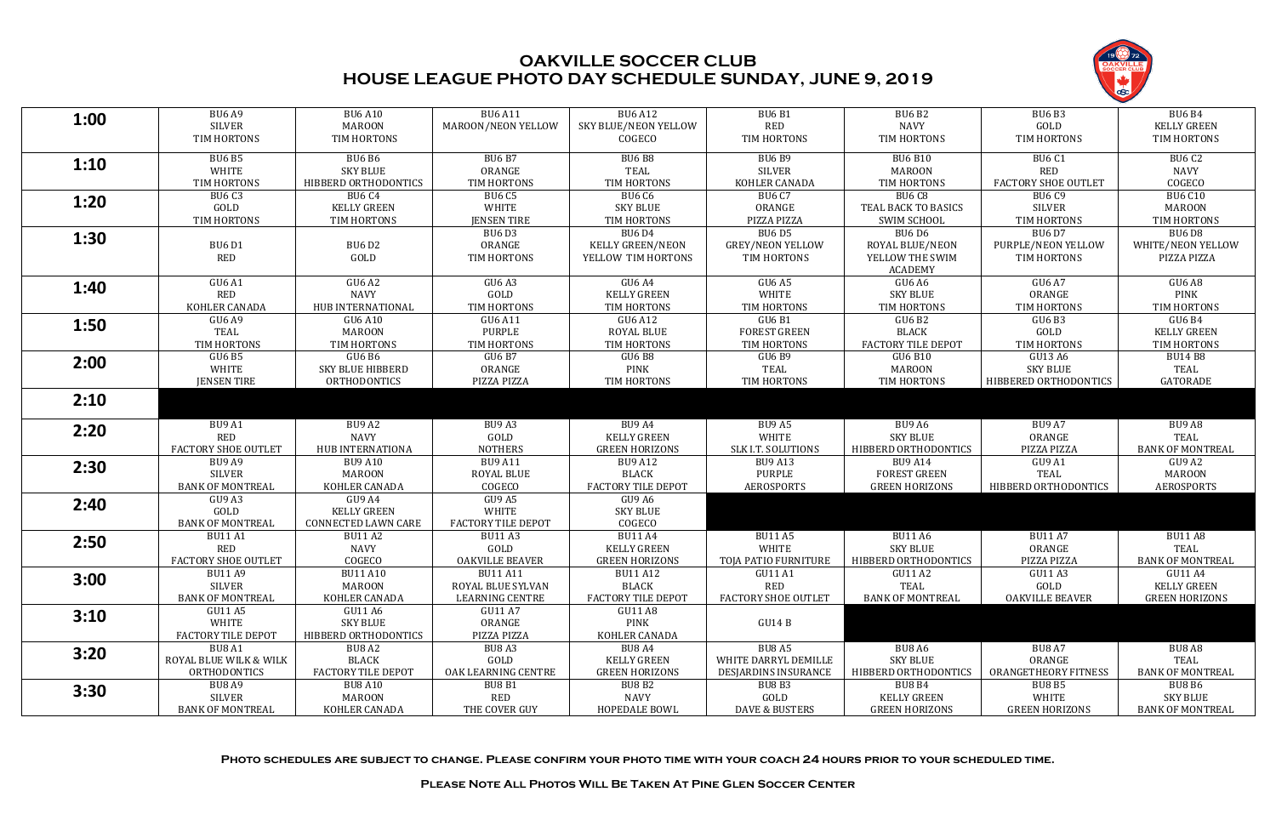**Photo schedules are subject to change. Please confirm your photo time with your coach 24 hours prior to your scheduled time.**

**Please Note All Photos Will Be Taken At Pine Glen Soccer Center**



| 1:00 | <b>BU6 A9</b>             | <b>BU6 A10</b>            | <b>BU6 A11</b>            | <b>BU6 A12</b>          | <b>BU6 B1</b>             | <b>BU6 B2</b>           | <b>BU6 B3</b>              | <b>BU6 B4</b>           |
|------|---------------------------|---------------------------|---------------------------|-------------------------|---------------------------|-------------------------|----------------------------|-------------------------|
|      | <b>SILVER</b>             | <b>MAROON</b>             | MAROON/NEON YELLOW        | SKY BLUE/NEON YELLOW    | <b>RED</b>                | <b>NAVY</b>             | GOLD                       | <b>KELLY GREEN</b>      |
|      | TIM HORTONS               | TIM HORTONS               |                           | COGECO                  | TIM HORTONS               | TIM HORTONS             | TIM HORTONS                | TIM HORTONS             |
|      | <b>BU6 B5</b>             | <b>BU6 B6</b>             | <b>BU6 B7</b>             | <b>BU6 B8</b>           | <b>BU6 B9</b>             | <b>BU6 B10</b>          | <b>BU6 C1</b>              | <b>BU6 C2</b>           |
| 1:10 | WHITE                     | <b>SKY BLUE</b>           | ORANGE                    | TEAL                    | <b>SILVER</b>             | <b>MAROON</b>           | <b>RED</b>                 | <b>NAVY</b>             |
|      | TIM HORTONS               | HIBBERD ORTHODONTICS      | TIM HORTONS               | TIM HORTONS             | KOHLER CANADA             | TIM HORTONS             | <b>FACTORY SHOE OUTLET</b> | COGECO                  |
|      | <b>BU6 C3</b>             | <b>BU6 C4</b>             | <b>BU6 C5</b>             | BU6 C6                  | <b>BU6 C7</b>             | BU6 C8                  | <b>BU6 C9</b>              | <b>BU6 C10</b>          |
| 1:20 | GOLD                      | <b>KELLY GREEN</b>        | WHITE                     | <b>SKY BLUE</b>         | ORANGE                    | TEAL BACK TO BASICS     | <b>SILVER</b>              | <b>MAROON</b>           |
|      | TIM HORTONS               | TIM HORTONS               | <b>JENSEN TIRE</b>        | TIM HORTONS             | PIZZA PIZZA               | <b>SWIM SCHOOL</b>      | TIM HORTONS                | TIM HORTONS             |
|      |                           |                           | BU6D3                     | <b>BU6 D4</b>           | <b>BU6 D5</b>             | <b>BU6 D6</b>           | <b>BU6D7</b>               | <b>BU6 D8</b>           |
| 1:30 | <b>BU6 D1</b>             | <b>BU6 D2</b>             | ORANGE                    | <b>KELLY GREEN/NEON</b> | <b>GREY/NEON YELLOW</b>   | ROYAL BLUE/NEON         | PURPLE/NEON YELLOW         | WHITE/NEON YELLOW       |
|      | <b>RED</b>                | GOLD                      | TIM HORTONS               | YELLOW TIM HORTONS      | TIM HORTONS               | YELLOW THE SWIM         | TIM HORTONS                | PIZZA PIZZA             |
|      |                           |                           |                           |                         |                           | <b>ACADEMY</b>          |                            |                         |
| 1:40 | <b>GU6 A1</b>             | GU6A2                     | GU6A3                     | GU6 A4                  | GU6 A5                    | GU6 A6                  | <b>GU6 A7</b>              | GU6 A8                  |
|      | RED                       | <b>NAVY</b>               | GOLD                      | <b>KELLY GREEN</b>      | WHITE                     | SKY BLUE                | ORANGE                     | <b>PINK</b>             |
|      | KOHLER CANADA             | HUB INTERNATIONAL         | TIM HORTONS               | TIM HORTONS             | TIM HORTONS               | TIM HORTONS             | TIM HORTONS                | TIM HORTONS             |
| 1:50 | GU6 A9                    | GU6 A10                   | GU6 A11                   | GU6 A12                 | <b>GU6 B1</b>             | GU6 B2                  | GU6B3                      | GU6 B4                  |
|      | <b>TEAL</b>               | <b>MAROON</b>             | PURPLE                    | ROYAL BLUE              | <b>FOREST GREEN</b>       | <b>BLACK</b>            | GOLD                       | <b>KELLY GREEN</b>      |
|      | TIM HORTONS               | TIM HORTONS               | TIM HORTONS               | TIM HORTONS             | TIM HORTONS               | FACTORY TILE DEPOT      | TIM HORTONS                | TIM HORTONS             |
| 2:00 | GU6 B5                    | GU6 B6                    | GU6 B7                    | GU6 B8                  | GU6 B9                    | GU6 B10                 | GU13 A6                    | <b>BU14 B8</b>          |
|      | WHITE                     | SKY BLUE HIBBERD          | ORANGE                    | <b>PINK</b>             | TEAL                      | <b>MAROON</b>           | <b>SKY BLUE</b>            | TEAL                    |
|      | <b>JENSEN TIRE</b>        | <b>ORTHODONTICS</b>       | PIZZA PIZZA               | TIM HORTONS             | TIM HORTONS               | TIM HORTONS             | HIBBERED ORTHODONTICS      | GATORADE                |
| 2:10 |                           |                           |                           |                         |                           |                         |                            |                         |
|      |                           |                           |                           |                         |                           |                         |                            |                         |
|      | BU9 A1                    | BU9 A2                    | BU9A3                     | BU9 A4                  | <b>BU9 A5</b>             | <b>BU9 A6</b>           | <b>BU9 A7</b>              | BU9 A8                  |
| 2:20 | RED                       | <b>NAVY</b>               | GOLD                      | <b>KELLY GREEN</b>      | WHITE                     | <b>SKY BLUE</b>         | ORANGE                     | TEAL                    |
|      | FACTORY SHOE OUTLET       | HUB INTERNATIONA          | <b>NOTHERS</b>            | <b>GREEN HORIZONS</b>   | SLK I.T. SOLUTIONS        | HIBBERD ORTHODONTICS    | PIZZA PIZZA                | <b>BANK OF MONTREAL</b> |
| 2:30 | BU9 A9                    | <b>BU9 A10</b>            | <b>BU9 A11</b>            | <b>BU9 A12</b>          | <b>BU9 A13</b>            | <b>BU9 A14</b>          | GU9 A1                     | GU9 A2                  |
|      | SILVER                    | <b>MAROON</b>             | <b>ROYAL BLUE</b>         | <b>BLACK</b>            | PURPLE                    | <b>FOREST GREEN</b>     | TEAL                       | <b>MAROON</b>           |
|      | <b>BANK OF MONTREAL</b>   | KOHLER CANADA             | COGECO                    | FACTORY TILE DEPOT      | <b>AEROSPORTS</b>         | <b>GREEN HORIZONS</b>   | HIBBERD ORTHODONTICS       | <b>AEROSPORTS</b>       |
| 2:40 | GU9 A3                    | GU9 A4                    | GU9 A5                    | GU9 A6                  |                           |                         |                            |                         |
|      | GOLD                      | <b>KELLY GREEN</b>        | WHITE                     | <b>SKY BLUE</b>         |                           |                         |                            |                         |
|      | <b>BANK OF MONTREAL</b>   | CONNECTED LAWN CARE       | <b>FACTORY TILE DEPOT</b> | COGECO                  |                           |                         |                            |                         |
| 2:50 | <b>BU11 A1</b>            | <b>BU11 A2</b>            | <b>BU11 A3</b>            | <b>BU11 A4</b>          | <b>BU11 A5</b>            | <b>BU11 A6</b>          | <b>BU11 A7</b>             | <b>BU11 A8</b>          |
|      | RED                       | <b>NAVY</b>               | GOLD                      | <b>KELLY GREEN</b>      | WHITE                     | <b>SKY BLUE</b>         | ORANGE                     | TEAL                    |
|      | FACTORY SHOE OUTLET       | COGECO                    | <b>OAKVILLE BEAVER</b>    | <b>GREEN HORIZONS</b>   | TOJA PATIO FURNITURE      | HIBBERD ORTHODONTICS    | PIZZA PIZZA                | <b>BANK OF MONTREAL</b> |
| 3:00 | <b>BU11 A9</b>            | <b>BU11 A10</b>           | <b>BU11 A11</b>           | <b>BU11 A12</b>         | GU11 A1                   | GU11 A2                 | GU11 A3                    | <b>GU11 A4</b>          |
|      | SILVER                    | <b>MAROON</b>             | ROYAL BLUE SYLVAN         | <b>BLACK</b>            | RED                       | TEAL                    | GOLD                       | <b>KELLY GREEN</b>      |
|      | <b>BANK OF MONTREAL</b>   | KOHLER CANADA             | <b>LEARNING CENTRE</b>    | FACTORY TILE DEPOT      | FACTORY SHOE OUTLET       | <b>BANK OF MONTREAL</b> | <b>OAKVILLE BEAVER</b>     | <b>GREEN HORIZONS</b>   |
| 3:10 | GU11 A5                   | GU11 A6                   | GU11 A7                   | GU11 A8                 |                           |                         |                            |                         |
|      | WHITE                     | <b>SKY BLUE</b>           | ORANGE                    | PINK                    | GU14 B                    |                         |                            |                         |
|      | <b>FACTORY TILE DEPOT</b> | HIBBERD ORTHODONTICS      | PIZZA PIZZA               | KOHLER CANADA           |                           |                         |                            |                         |
| 3:20 | BU8 A1                    | BU8 A2                    | BU8A3                     | BUBA <sub>4</sub>       | BU8 A5                    | BU8 A6                  | BU8 A7                     | BU8 A8                  |
|      | ROYAL BLUE WILK & WILK    | <b>BLACK</b>              | GOLD                      | <b>KELLY GREEN</b>      | WHITE DARRYL DEMILLE      | <b>SKY BLUE</b>         | ORANGE                     | TEAL                    |
|      | <b>ORTHODONTICS</b>       | <b>FACTORY TILE DEPOT</b> | OAK LEARNING CENTRE       | <b>GREEN HORIZONS</b>   | DESJARDINS INSURANCE      | HIBBERD ORTHODONTICS    | ORANGETHEORY FITNESS       | <b>BANK OF MONTREAL</b> |
| 3:30 | BU8 A9                    | <b>BU8 A10</b>            | BU8 B1                    | BU8 B2                  | BU8 B3                    | <b>BU8 B4</b>           | <b>BU8 B5</b>              | BU8 B6                  |
|      | SILVER                    | <b>MAROON</b>             | RED                       | <b>NAVY</b>             | GOLD                      | <b>KELLY GREEN</b>      | WHITE                      | <b>SKY BLUE</b>         |
|      | <b>BANK OF MONTREAL</b>   | KOHLER CANADA             | THE COVER GUY             | HOPEDALE BOWL           | <b>DAVE &amp; BUSTERS</b> | <b>GREEN HORIZONS</b>   | <b>GREEN HORIZONS</b>      | BANK OF MONTREAL        |